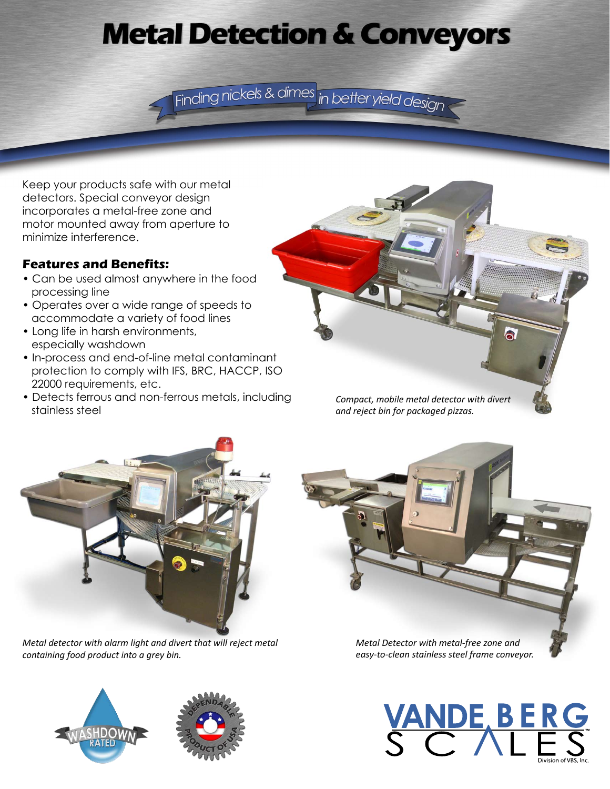# **Metal Detection & Conveyors**

Finding nickels & dimes in better yield design

Keep your products safe with our metal detectors. Special conveyor design incorporates a metal-free zone and motor mounted away from aperture to minimize interference.

### **Features and Benefits:**

- Can be used almost anywhere in the food processing line
- Operates over a wide range of speeds to accommodate a variety of food lines
- Long life in harsh environments, especially washdown
- In-process and end-of-line metal contaminant protection to comply with IFS, BRC, HACCP, ISO 22000 requirements, etc.
- Detects ferrous and non-ferrous metals, including stainless steel





*Metal detector with alarm light and divert that will reject metal containing food product into a grey bin.*